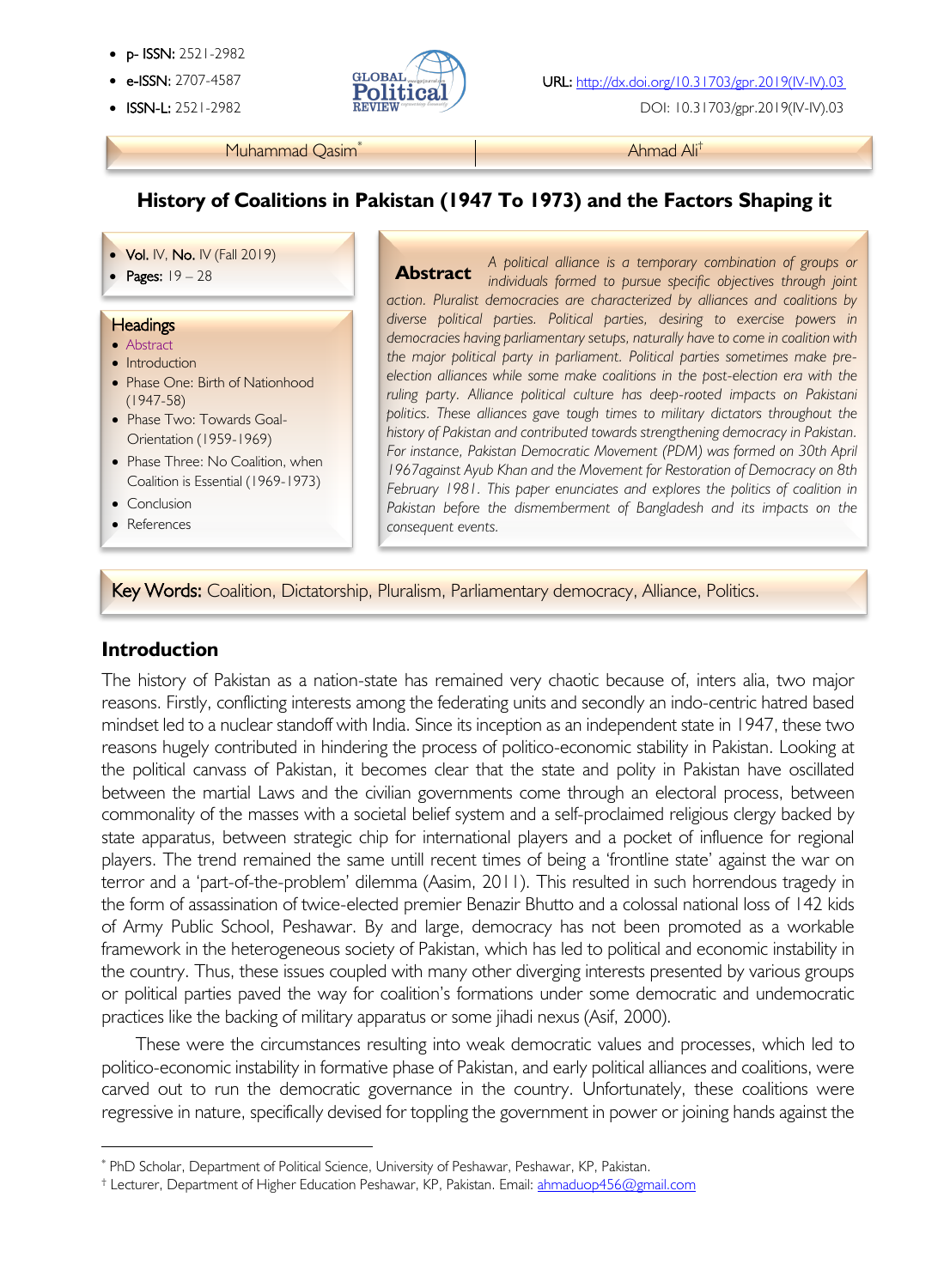- p- ISSN: 2521-2982
- 
- ISSN-L: 2521-2982



DOI: 10.31703/gpr.2019(IV-IV).03

#### Muhammad Qasim<sup>\*</sup> Ahmad Ali<sup>†</sup>

# **History of Coalitions in Pakistan (1947 To 1973) and the Factors Shaping it**

#### • Vol. IV, No. IV (Fall 2019)

#### **Headings**

- Abstract
- Introduction
- Phase One: Birth of Nationhood (1947-58)
- Phase Two: Towards Goal-Orientation (1959-1969)
- Phase Three: No Coalition, when Coalition is Essential (1969-1973)
- Conclusion
- References

l

• **POLIV, NO.** IV (Fall 2019)<br>**Abstract** A political alliance is a temporary combination of groups or<br>**Abstract** individuals formed to bursue specific objectives through joint *individuals formed to pursue specific objectives through joint action. Pluralist democracies are characterized by alliances and coalitions by diverse political parties. Political parties, desiring to exercise powers in democracies having parliamentary setups, naturally have to come in coalition with the major political party in parliament. Political parties sometimes make preelection alliances while some make coalitions in the post-election era with the ruling party. Alliance political culture has deep-rooted impacts on Pakistani politics. These alliances gave tough times to military dictators throughout the history of Pakistan and contributed towards strengthening democracy in Pakistan. For instance, Pakistan Democratic Movement (PDM) was formed on 30th April 1967against Ayub Khan and the Movement for Restoration of Democracy on 8th February 1981. This paper enunciates and explores the politics of coalition in*  Pakistan before the dismemberment of Bangladesh and its impacts on the *consequent events.* **Abstract**

Key Words: Coalition, Dictatorship, Pluralism, Parliamentary democracy, Alliance, Politics.

## **Introduction**

The history of Pakistan as a nation-state has remained very chaotic because of, inters alia, two major reasons. Firstly, conflicting interests among the federating units and secondly an indo-centric hatred based mindset led to a nuclear standoff with India. Since its inception as an independent state in 1947, these two reasons hugely contributed in hindering the process of politico-economic stability in Pakistan. Looking at the political canvass of Pakistan, it becomes clear that the state and polity in Pakistan have oscillated between the martial Laws and the civilian governments come through an electoral process, between commonality of the masses with a societal belief system and a self-proclaimed religious clergy backed by state apparatus, between strategic chip for international players and a pocket of influence for regional players. The trend remained the same untill recent times of being a 'frontline state' against the war on terror and a 'part-of-the-problem' dilemma (Aasim, 2011). This resulted in such horrendous tragedy in the form of assassination of twice-elected premier Benazir Bhutto and a colossal national loss of 142 kids of Army Public School, Peshawar. By and large, democracy has not been promoted as a workable framework in the heterogeneous society of Pakistan, which has led to political and economic instability in the country. Thus, these issues coupled with many other diverging interests presented by various groups or political parties paved the way for coalition's formations under some democratic and undemocratic practices like the backing of military apparatus or some jihadi nexus (Asif, 2000).

These were the circumstances resulting into weak democratic values and processes, which led to politico-economic instability in formative phase of Pakistan, and early political alliances and coalitions, were carved out to run the democratic governance in the country. Unfortunately, these coalitions were regressive in nature, specifically devised for toppling the government in power or joining hands against the

<sup>\*</sup> PhD Scholar, Department of Political Science, University of Peshawar, Peshawar, KP, Pakistan.

<sup>†</sup> Lecturer, Department of Higher Education Peshawar, KP, Pakistan. Email: ahmaduop456@gmail.com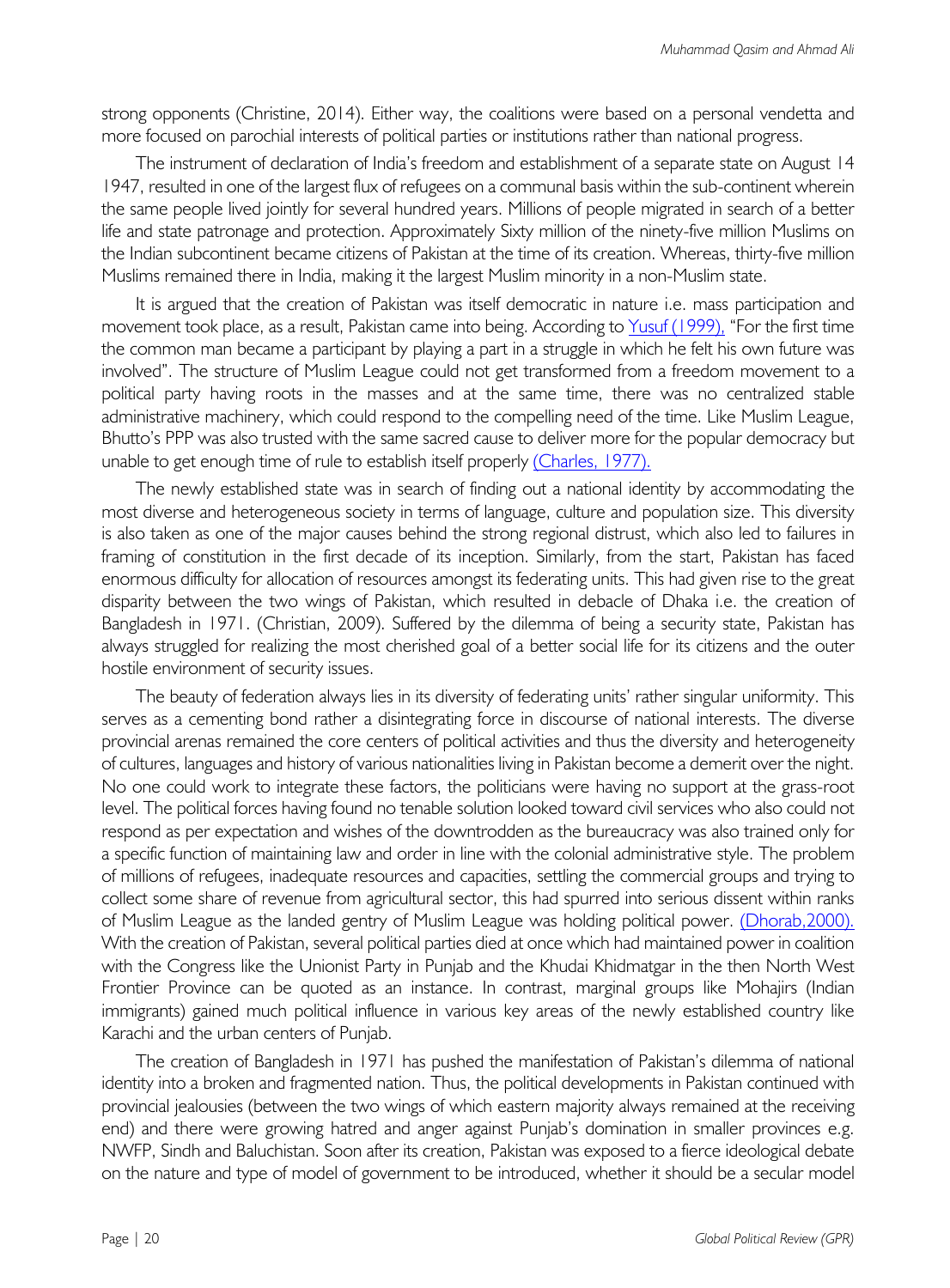strong opponents (Christine, 2014). Either way, the coalitions were based on a personal vendetta and more focused on parochial interests of political parties or institutions rather than national progress.

The instrument of declaration of India's freedom and establishment of a separate state on August 14 1947, resulted in one of the largest flux of refugees on a communal basis within the sub-continent wherein the same people lived jointly for several hundred years. Millions of people migrated in search of a better life and state patronage and protection. Approximately Sixty million of the ninety-five million Muslims on the Indian subcontinent became citizens of Pakistan at the time of its creation. Whereas, thirty-five million Muslims remained there in India, making it the largest Muslim minority in a non-Muslim state.

It is argued that the creation of Pakistan was itself democratic in nature i.e. mass participation and movement took place, as a result, Pakistan came into being. According to Yusuf (1999), "For the first time the common man became a participant by playing a part in a struggle in which he felt his own future was involved". The structure of Muslim League could not get transformed from a freedom movement to a political party having roots in the masses and at the same time, there was no centralized stable administrative machinery, which could respond to the compelling need of the time. Like Muslim League, Bhutto's PPP was also trusted with the same sacred cause to deliver more for the popular democracy but unable to get enough time of rule to establish itself properly (Charles, 1977).

The newly established state was in search of finding out a national identity by accommodating the most diverse and heterogeneous society in terms of language, culture and population size. This diversity is also taken as one of the major causes behind the strong regional distrust, which also led to failures in framing of constitution in the first decade of its inception. Similarly, from the start, Pakistan has faced enormous difficulty for allocation of resources amongst its federating units. This had given rise to the great disparity between the two wings of Pakistan, which resulted in debacle of Dhaka i.e. the creation of Bangladesh in 1971. (Christian, 2009). Suffered by the dilemma of being a security state, Pakistan has always struggled for realizing the most cherished goal of a better social life for its citizens and the outer hostile environment of security issues.

The beauty of federation always lies in its diversity of federating units' rather singular uniformity. This serves as a cementing bond rather a disintegrating force in discourse of national interests. The diverse provincial arenas remained the core centers of political activities and thus the diversity and heterogeneity of cultures, languages and history of various nationalities living in Pakistan become a demerit over the night. No one could work to integrate these factors, the politicians were having no support at the grass-root level. The political forces having found no tenable solution looked toward civil services who also could not respond as per expectation and wishes of the downtrodden as the bureaucracy was also trained only for a specific function of maintaining law and order in line with the colonial administrative style. The problem of millions of refugees, inadequate resources and capacities, settling the commercial groups and trying to collect some share of revenue from agricultural sector, this had spurred into serious dissent within ranks of Muslim League as the landed gentry of Muslim League was holding political power. (Dhorab,2000). With the creation of Pakistan, several political parties died at once which had maintained power in coalition with the Congress like the Unionist Party in Punjab and the Khudai Khidmatgar in the then North West Frontier Province can be quoted as an instance. In contrast, marginal groups like Mohajirs (Indian immigrants) gained much political influence in various key areas of the newly established country like Karachi and the urban centers of Punjab.

The creation of Bangladesh in 1971 has pushed the manifestation of Pakistan's dilemma of national identity into a broken and fragmented nation. Thus, the political developments in Pakistan continued with provincial jealousies (between the two wings of which eastern majority always remained at the receiving end) and there were growing hatred and anger against Punjab's domination in smaller provinces e.g. NWFP, Sindh and Baluchistan. Soon after its creation, Pakistan was exposed to a fierce ideological debate on the nature and type of model of government to be introduced, whether it should be a secular model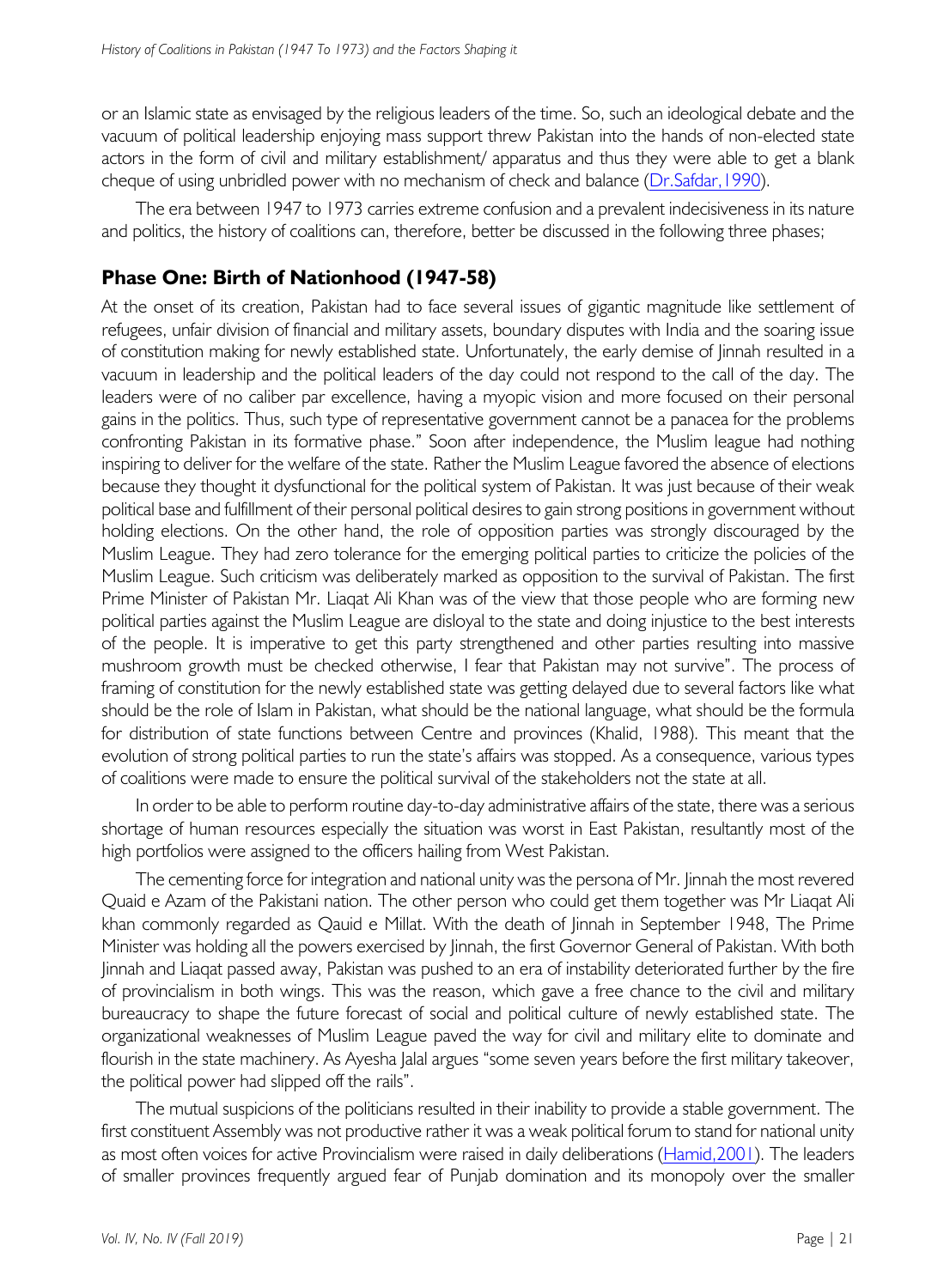or an Islamic state as envisaged by the religious leaders of the time. So, such an ideological debate and the vacuum of political leadership enjoying mass support threw Pakistan into the hands of non-elected state actors in the form of civil and military establishment/ apparatus and thus they were able to get a blank cheque of using unbridled power with no mechanism of check and balance (Dr.Safdar,1990).

The era between 1947 to 1973 carries extreme confusion and a prevalent indecisiveness in its nature and politics, the history of coalitions can, therefore, better be discussed in the following three phases;

# **Phase One: Birth of Nationhood (1947-58)**

At the onset of its creation, Pakistan had to face several issues of gigantic magnitude like settlement of refugees, unfair division of financial and military assets, boundary disputes with India and the soaring issue of constitution making for newly established state. Unfortunately, the early demise of Jinnah resulted in a vacuum in leadership and the political leaders of the day could not respond to the call of the day. The leaders were of no caliber par excellence, having a myopic vision and more focused on their personal gains in the politics. Thus, such type of representative government cannot be a panacea for the problems confronting Pakistan in its formative phase." Soon after independence, the Muslim league had nothing inspiring to deliver for the welfare of the state. Rather the Muslim League favored the absence of elections because they thought it dysfunctional for the political system of Pakistan. It was just because of their weak political base and fulfillment of their personal political desires to gain strong positions in government without holding elections. On the other hand, the role of opposition parties was strongly discouraged by the Muslim League. They had zero tolerance for the emerging political parties to criticize the policies of the Muslim League. Such criticism was deliberately marked as opposition to the survival of Pakistan. The first Prime Minister of Pakistan Mr. Liaqat Ali Khan was of the view that those people who are forming new political parties against the Muslim League are disloyal to the state and doing injustice to the best interests of the people. It is imperative to get this party strengthened and other parties resulting into massive mushroom growth must be checked otherwise, I fear that Pakistan may not survive". The process of framing of constitution for the newly established state was getting delayed due to several factors like what should be the role of Islam in Pakistan, what should be the national language, what should be the formula for distribution of state functions between Centre and provinces (Khalid, 1988). This meant that the evolution of strong political parties to run the state's affairs was stopped. As a consequence, various types of coalitions were made to ensure the political survival of the stakeholders not the state at all.

In order to be able to perform routine day-to-day administrative affairs of the state, there was a serious shortage of human resources especially the situation was worst in East Pakistan, resultantly most of the high portfolios were assigned to the officers hailing from West Pakistan.

The cementing force for integration and national unity was the persona of Mr. Jinnah the most revered Quaid e Azam of the Pakistani nation. The other person who could get them together was Mr Liaqat Ali khan commonly regarded as Qauid e Millat. With the death of Jinnah in September 1948, The Prime Minister was holding all the powers exercised by Jinnah, the first Governor General of Pakistan. With both Jinnah and Liaqat passed away, Pakistan was pushed to an era of instability deteriorated further by the fire of provincialism in both wings. This was the reason, which gave a free chance to the civil and military bureaucracy to shape the future forecast of social and political culture of newly established state. The organizational weaknesses of Muslim League paved the way for civil and military elite to dominate and flourish in the state machinery. As Ayesha Jalal argues "some seven years before the first military takeover, the political power had slipped off the rails".

The mutual suspicions of the politicians resulted in their inability to provide a stable government. The first constituent Assembly was not productive rather it was a weak political forum to stand for national unity as most often voices for active Provincialism were raised in daily deliberations (Hamid,2001). The leaders of smaller provinces frequently argued fear of Punjab domination and its monopoly over the smaller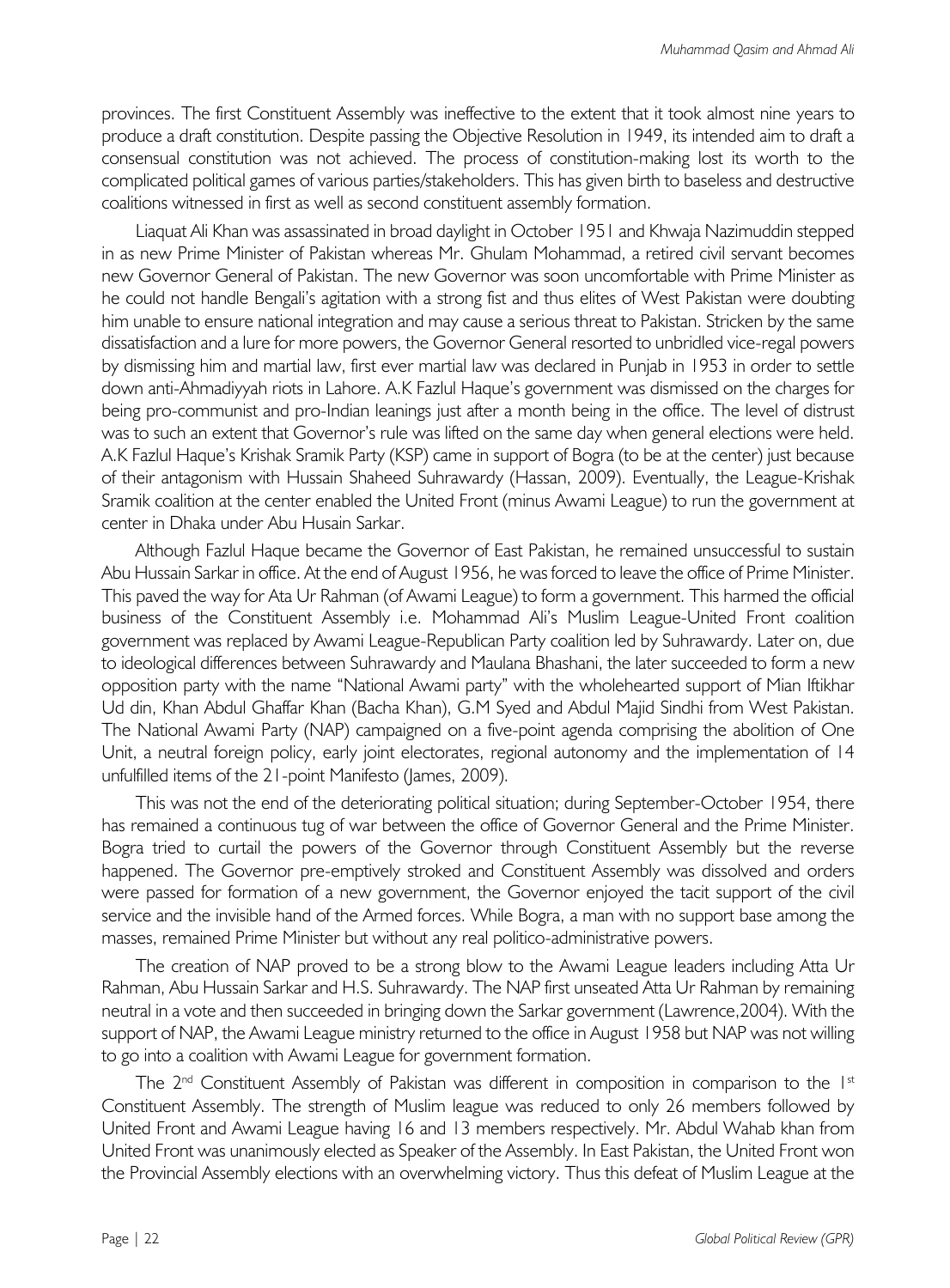provinces. The first Constituent Assembly was ineffective to the extent that it took almost nine years to produce a draft constitution. Despite passing the Objective Resolution in 1949, its intended aim to draft a consensual constitution was not achieved. The process of constitution-making lost its worth to the complicated political games of various parties/stakeholders. This has given birth to baseless and destructive coalitions witnessed in first as well as second constituent assembly formation.

Liaquat Ali Khan was assassinated in broad daylight in October 1951 and Khwaja Nazimuddin stepped in as new Prime Minister of Pakistan whereas Mr. Ghulam Mohammad, a retired civil servant becomes new Governor General of Pakistan. The new Governor was soon uncomfortable with Prime Minister as he could not handle Bengali's agitation with a strong fist and thus elites of West Pakistan were doubting him unable to ensure national integration and may cause a serious threat to Pakistan. Stricken by the same dissatisfaction and a lure for more powers, the Governor General resorted to unbridled vice-regal powers by dismissing him and martial law, first ever martial law was declared in Punjab in 1953 in order to settle down anti-Ahmadiyyah riots in Lahore. A.K Fazlul Haque's government was dismissed on the charges for being pro-communist and pro-Indian leanings just after a month being in the office. The level of distrust was to such an extent that Governor's rule was lifted on the same day when general elections were held. A.K Fazlul Haque's Krishak Sramik Party (KSP) came in support of Bogra (to be at the center) just because of their antagonism with Hussain Shaheed Suhrawardy (Hassan, 2009). Eventually, the League-Krishak Sramik coalition at the center enabled the United Front (minus Awami League) to run the government at center in Dhaka under Abu Husain Sarkar.

Although Fazlul Haque became the Governor of East Pakistan, he remained unsuccessful to sustain Abu Hussain Sarkar in office. At the end of August 1956, he was forced to leave the office of Prime Minister. This paved the way for Ata Ur Rahman (of Awami League) to form a government. This harmed the official business of the Constituent Assembly i.e. Mohammad Ali's Muslim League-United Front coalition government was replaced by Awami League-Republican Party coalition led by Suhrawardy. Later on, due to ideological differences between Suhrawardy and Maulana Bhashani, the later succeeded to form a new opposition party with the name "National Awami party" with the wholehearted support of Mian Iftikhar Ud din, Khan Abdul Ghaffar Khan (Bacha Khan), G.M Syed and Abdul Majid Sindhi from West Pakistan. The National Awami Party (NAP) campaigned on a five-point agenda comprising the abolition of One Unit, a neutral foreign policy, early joint electorates, regional autonomy and the implementation of 14 unfulfilled items of the 21-point Manifesto (James, 2009).

This was not the end of the deteriorating political situation; during September-October 1954, there has remained a continuous tug of war between the office of Governor General and the Prime Minister. Bogra tried to curtail the powers of the Governor through Constituent Assembly but the reverse happened. The Governor pre-emptively stroked and Constituent Assembly was dissolved and orders were passed for formation of a new government, the Governor enjoyed the tacit support of the civil service and the invisible hand of the Armed forces. While Bogra, a man with no support base among the masses, remained Prime Minister but without any real politico-administrative powers.

The creation of NAP proved to be a strong blow to the Awami League leaders including Atta Ur Rahman, Abu Hussain Sarkar and H.S. Suhrawardy. The NAP first unseated Atta Ur Rahman by remaining neutral in a vote and then succeeded in bringing down the Sarkar government (Lawrence,2004). With the support of NAP, the Awami League ministry returned to the office in August 1958 but NAP was not willing to go into a coalition with Awami League for government formation.

The  $2<sup>nd</sup>$  Constituent Assembly of Pakistan was different in composition in comparison to the  $1<sup>st</sup>$ Constituent Assembly. The strength of Muslim league was reduced to only 26 members followed by United Front and Awami League having 16 and 13 members respectively. Mr. Abdul Wahab khan from United Front was unanimously elected as Speaker of the Assembly. In East Pakistan, the United Front won the Provincial Assembly elections with an overwhelming victory. Thus this defeat of Muslim League at the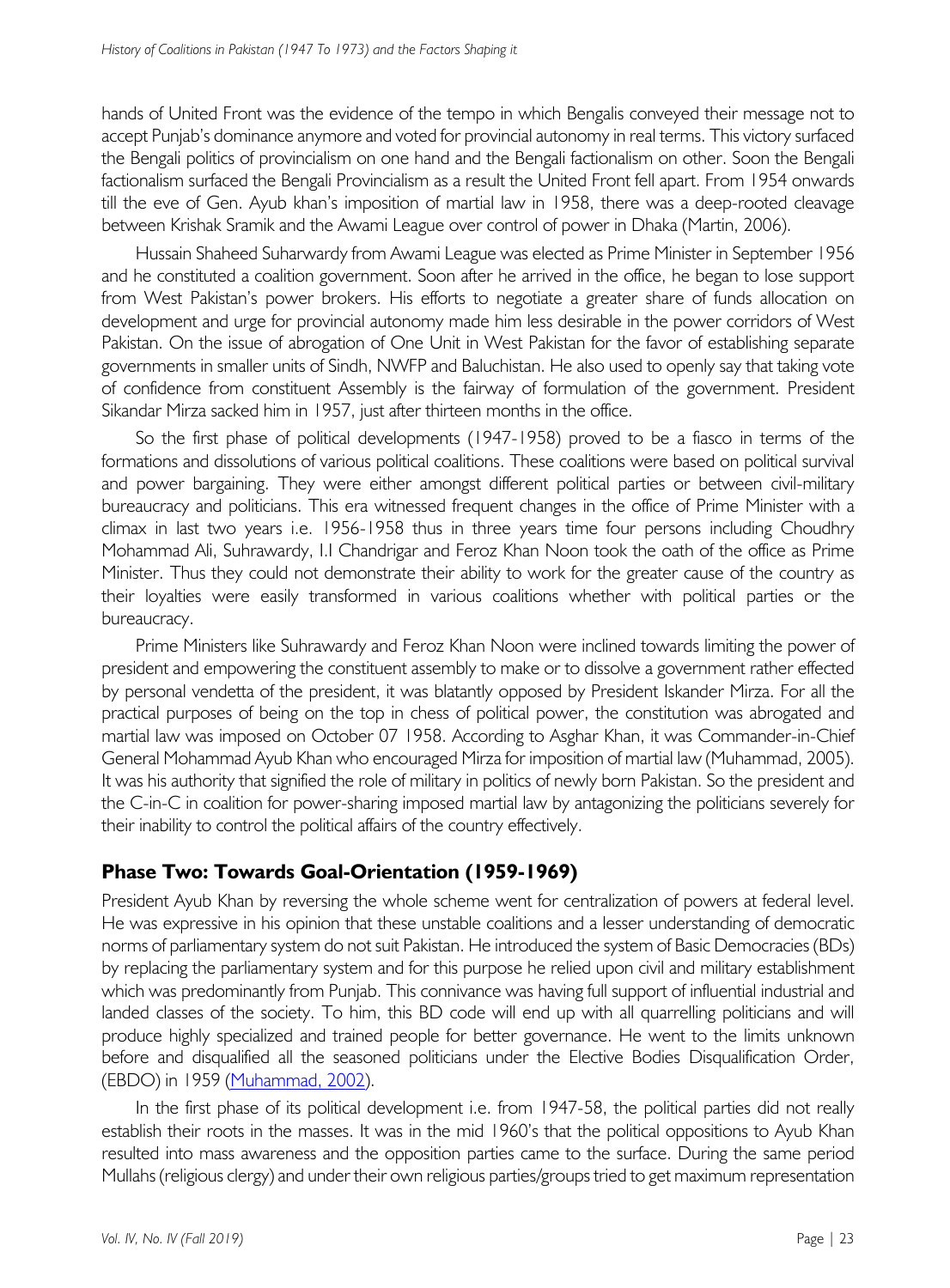hands of United Front was the evidence of the tempo in which Bengalis conveyed their message not to accept Punjab's dominance anymore and voted for provincial autonomy in real terms. This victory surfaced the Bengali politics of provincialism on one hand and the Bengali factionalism on other. Soon the Bengali factionalism surfaced the Bengali Provincialism as a result the United Front fell apart. From 1954 onwards till the eve of Gen. Ayub khan's imposition of martial law in 1958, there was a deep-rooted cleavage between Krishak Sramik and the Awami League over control of power in Dhaka (Martin, 2006).

Hussain Shaheed Suharwardy from Awami League was elected as Prime Minister in September 1956 and he constituted a coalition government. Soon after he arrived in the office, he began to lose support from West Pakistan's power brokers. His efforts to negotiate a greater share of funds allocation on development and urge for provincial autonomy made him less desirable in the power corridors of West Pakistan. On the issue of abrogation of One Unit in West Pakistan for the favor of establishing separate governments in smaller units of Sindh, NWFP and Baluchistan. He also used to openly say that taking vote of confidence from constituent Assembly is the fairway of formulation of the government. President Sikandar Mirza sacked him in 1957, just after thirteen months in the office.

So the first phase of political developments (1947-1958) proved to be a fiasco in terms of the formations and dissolutions of various political coalitions. These coalitions were based on political survival and power bargaining. They were either amongst different political parties or between civil-military bureaucracy and politicians. This era witnessed frequent changes in the office of Prime Minister with a climax in last two years i.e. 1956-1958 thus in three years time four persons including Choudhry Mohammad Ali, Suhrawardy, I.I Chandrigar and Feroz Khan Noon took the oath of the office as Prime Minister. Thus they could not demonstrate their ability to work for the greater cause of the country as their loyalties were easily transformed in various coalitions whether with political parties or the bureaucracy.

Prime Ministers like Suhrawardy and Feroz Khan Noon were inclined towards limiting the power of president and empowering the constituent assembly to make or to dissolve a government rather effected by personal vendetta of the president, it was blatantly opposed by President Iskander Mirza. For all the practical purposes of being on the top in chess of political power, the constitution was abrogated and martial law was imposed on October 07 1958. According to Asghar Khan, it was Commander-in-Chief General Mohammad Ayub Khan who encouraged Mirza for imposition of martial law (Muhammad, 2005). It was his authority that signified the role of military in politics of newly born Pakistan. So the president and the C-in-C in coalition for power-sharing imposed martial law by antagonizing the politicians severely for their inability to control the political affairs of the country effectively.

## **Phase Two: Towards Goal-Orientation (1959-1969)**

President Ayub Khan by reversing the whole scheme went for centralization of powers at federal level. He was expressive in his opinion that these unstable coalitions and a lesser understanding of democratic norms of parliamentary system do not suit Pakistan. He introduced the system of Basic Democracies (BDs) by replacing the parliamentary system and for this purpose he relied upon civil and military establishment which was predominantly from Punjab. This connivance was having full support of influential industrial and landed classes of the society. To him, this BD code will end up with all quarrelling politicians and will produce highly specialized and trained people for better governance. He went to the limits unknown before and disqualified all the seasoned politicians under the Elective Bodies Disqualification Order, (EBDO) in 1959 (Muhammad, 2002).

In the first phase of its political development i.e. from 1947-58, the political parties did not really establish their roots in the masses. It was in the mid 1960's that the political oppositions to Ayub Khan resulted into mass awareness and the opposition parties came to the surface. During the same period Mullahs (religious clergy) and under their own religious parties/groups tried to get maximum representation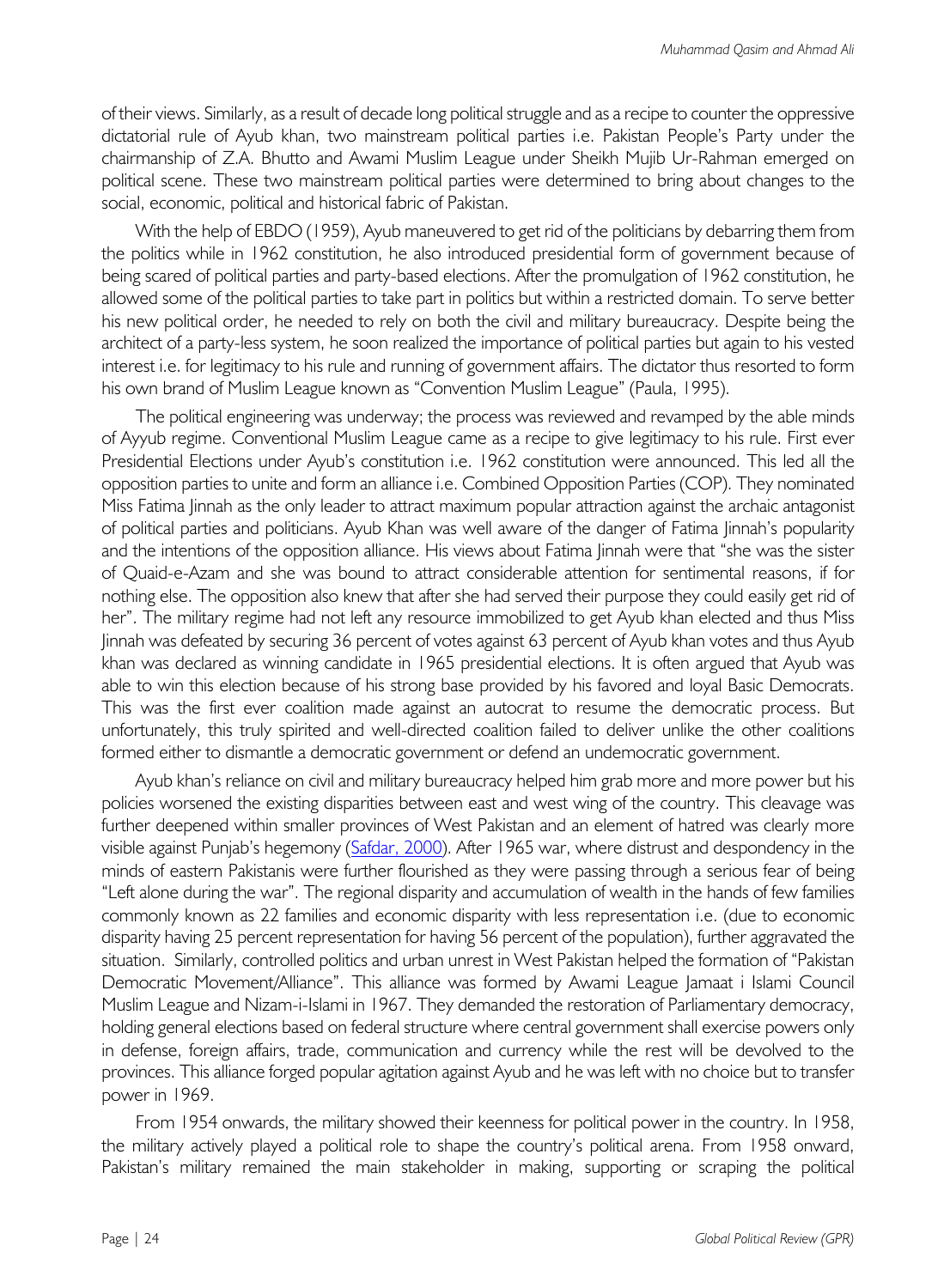of their views. Similarly, as a result of decade long political struggle and as a recipe to counter the oppressive dictatorial rule of Ayub khan, two mainstream political parties i.e. Pakistan People's Party under the chairmanship of Z.A. Bhutto and Awami Muslim League under Sheikh Mujib Ur-Rahman emerged on political scene. These two mainstream political parties were determined to bring about changes to the social, economic, political and historical fabric of Pakistan.

With the help of EBDO (1959), Ayub maneuvered to get rid of the politicians by debarring them from the politics while in 1962 constitution, he also introduced presidential form of government because of being scared of political parties and party-based elections. After the promulgation of 1962 constitution, he allowed some of the political parties to take part in politics but within a restricted domain. To serve better his new political order, he needed to rely on both the civil and military bureaucracy. Despite being the architect of a party-less system, he soon realized the importance of political parties but again to his vested interest i.e. for legitimacy to his rule and running of government affairs. The dictator thus resorted to form his own brand of Muslim League known as "Convention Muslim League" (Paula, 1995).

The political engineering was underway; the process was reviewed and revamped by the able minds of Ayyub regime. Conventional Muslim League came as a recipe to give legitimacy to his rule. First ever Presidential Elections under Ayub's constitution i.e. 1962 constitution were announced. This led all the opposition parties to unite and form an alliance i.e. Combined Opposition Parties (COP). They nominated Miss Fatima Jinnah as the only leader to attract maximum popular attraction against the archaic antagonist of political parties and politicians. Ayub Khan was well aware of the danger of Fatima Jinnah's popularity and the intentions of the opposition alliance. His views about Fatima Jinnah were that "she was the sister of Quaid-e-Azam and she was bound to attract considerable attention for sentimental reasons, if for nothing else. The opposition also knew that after she had served their purpose they could easily get rid of her". The military regime had not left any resource immobilized to get Ayub khan elected and thus Miss Jinnah was defeated by securing 36 percent of votes against 63 percent of Ayub khan votes and thus Ayub khan was declared as winning candidate in 1965 presidential elections. It is often argued that Ayub was able to win this election because of his strong base provided by his favored and loyal Basic Democrats. This was the first ever coalition made against an autocrat to resume the democratic process. But unfortunately, this truly spirited and well-directed coalition failed to deliver unlike the other coalitions formed either to dismantle a democratic government or defend an undemocratic government.

Ayub khan's reliance on civil and military bureaucracy helped him grab more and more power but his policies worsened the existing disparities between east and west wing of the country. This cleavage was further deepened within smaller provinces of West Pakistan and an element of hatred was clearly more visible against Punjab's hegemony (Safdar, 2000). After 1965 war, where distrust and despondency in the minds of eastern Pakistanis were further flourished as they were passing through a serious fear of being "Left alone during the war". The regional disparity and accumulation of wealth in the hands of few families commonly known as 22 families and economic disparity with less representation i.e. (due to economic disparity having 25 percent representation for having 56 percent of the population), further aggravated the situation. Similarly, controlled politics and urban unrest in West Pakistan helped the formation of "Pakistan Democratic Movement/Alliance". This alliance was formed by Awami League Jamaat i Islami Council Muslim League and Nizam-i-Islami in 1967. They demanded the restoration of Parliamentary democracy, holding general elections based on federal structure where central government shall exercise powers only in defense, foreign affairs, trade, communication and currency while the rest will be devolved to the provinces. This alliance forged popular agitation against Ayub and he was left with no choice but to transfer power in 1969.

From 1954 onwards, the military showed their keenness for political power in the country. In 1958, the military actively played a political role to shape the country's political arena. From 1958 onward, Pakistan's military remained the main stakeholder in making, supporting or scraping the political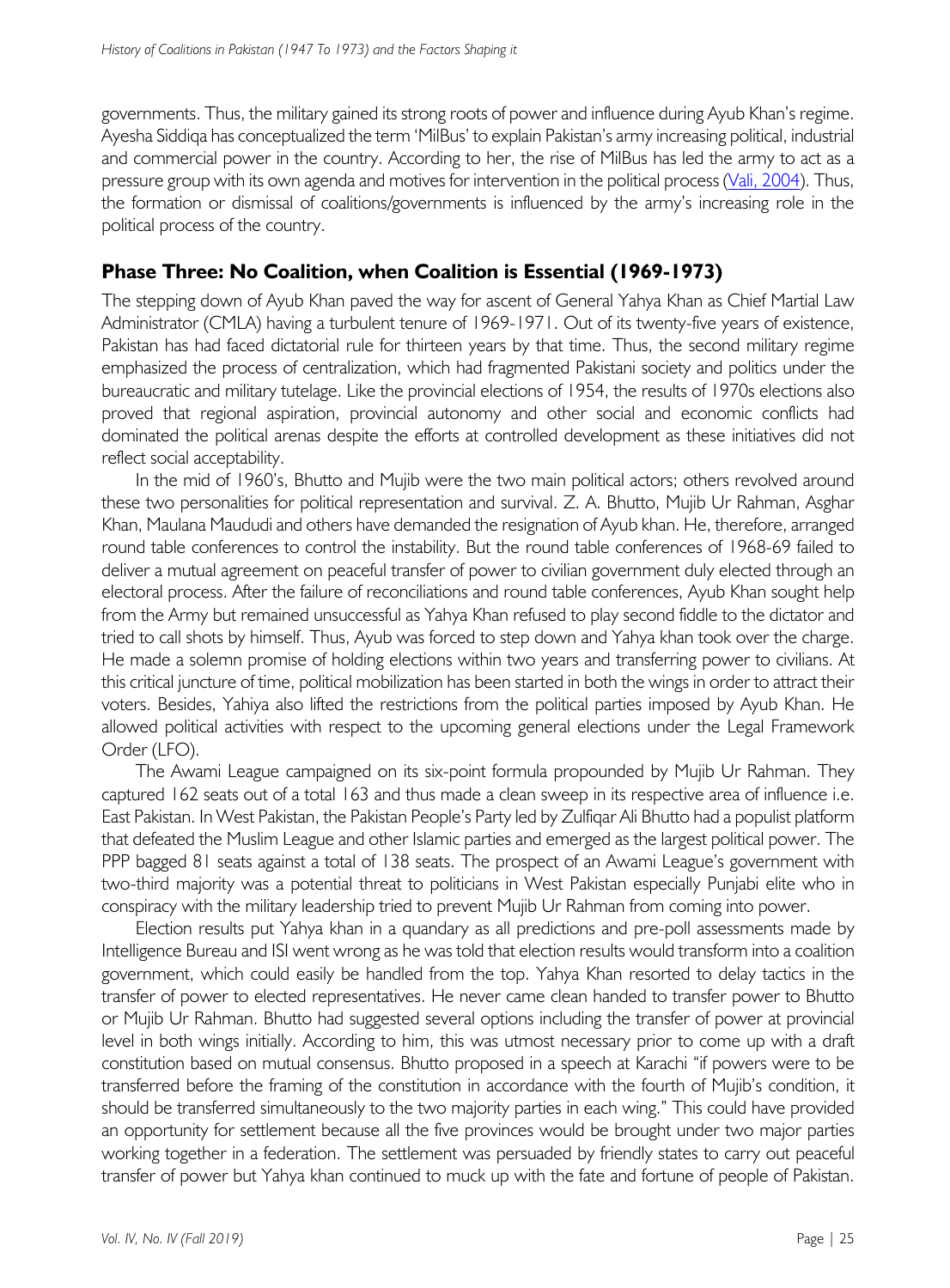governments. Thus, the military gained its strong roots of power and influence during Ayub Khan's regime. Ayesha Siddiqa has conceptualized the term 'MilBus' to explain Pakistan's army increasing political, industrial and commercial power in the country. According to her, the rise of MilBus has led the army to act as a pressure group with its own agenda and motives for intervention in the political process (Vali, 2004). Thus, the formation or dismissal of coalitions/governments is influenced by the army's increasing role in the political process of the country.

# **Phase Three: No Coalition, when Coalition is Essential (1969-1973)**

The stepping down of Ayub Khan paved the way for ascent of General Yahya Khan as Chief Martial Law Administrator (CMLA) having a turbulent tenure of 1969-1971. Out of its twenty-five years of existence, Pakistan has had faced dictatorial rule for thirteen years by that time. Thus, the second military regime emphasized the process of centralization, which had fragmented Pakistani society and politics under the bureaucratic and military tutelage. Like the provincial elections of 1954, the results of 1970s elections also proved that regional aspiration, provincial autonomy and other social and economic conflicts had dominated the political arenas despite the efforts at controlled development as these initiatives did not reflect social acceptability.

In the mid of 1960's, Bhutto and Mujib were the two main political actors; others revolved around these two personalities for political representation and survival. Z. A. Bhutto, Mujib Ur Rahman, Asghar Khan, Maulana Maududi and others have demanded the resignation of Ayub khan. He, therefore, arranged round table conferences to control the instability. But the round table conferences of 1968-69 failed to deliver a mutual agreement on peaceful transfer of power to civilian government duly elected through an electoral process. After the failure of reconciliations and round table conferences, Ayub Khan sought help from the Army but remained unsuccessful as Yahya Khan refused to play second fiddle to the dictator and tried to call shots by himself. Thus, Ayub was forced to step down and Yahya khan took over the charge. He made a solemn promise of holding elections within two years and transferring power to civilians. At this critical juncture of time, political mobilization has been started in both the wings in order to attract their voters. Besides, Yahiya also lifted the restrictions from the political parties imposed by Ayub Khan. He allowed political activities with respect to the upcoming general elections under the Legal Framework Order (LFO).

The Awami League campaigned on its six-point formula propounded by Mujib Ur Rahman. They captured 162 seats out of a total 163 and thus made a clean sweep in its respective area of influence i.e. East Pakistan. In West Pakistan, the Pakistan People's Party led by Zulfiqar Ali Bhutto had a populist platform that defeated the Muslim League and other Islamic parties and emerged as the largest political power. The PPP bagged 81 seats against a total of 138 seats. The prospect of an Awami League's government with two-third majority was a potential threat to politicians in West Pakistan especially Punjabi elite who in conspiracy with the military leadership tried to prevent Mujib Ur Rahman from coming into power.

Election results put Yahya khan in a quandary as all predictions and pre-poll assessments made by Intelligence Bureau and ISI went wrong as he was told that election results would transform into a coalition government, which could easily be handled from the top. Yahya Khan resorted to delay tactics in the transfer of power to elected representatives. He never came clean handed to transfer power to Bhutto or Mujib Ur Rahman. Bhutto had suggested several options including the transfer of power at provincial level in both wings initially. According to him, this was utmost necessary prior to come up with a draft constitution based on mutual consensus. Bhutto proposed in a speech at Karachi "if powers were to be transferred before the framing of the constitution in accordance with the fourth of Mujib's condition, it should be transferred simultaneously to the two majority parties in each wing." This could have provided an opportunity for settlement because all the five provinces would be brought under two major parties working together in a federation. The settlement was persuaded by friendly states to carry out peaceful transfer of power but Yahya khan continued to muck up with the fate and fortune of people of Pakistan.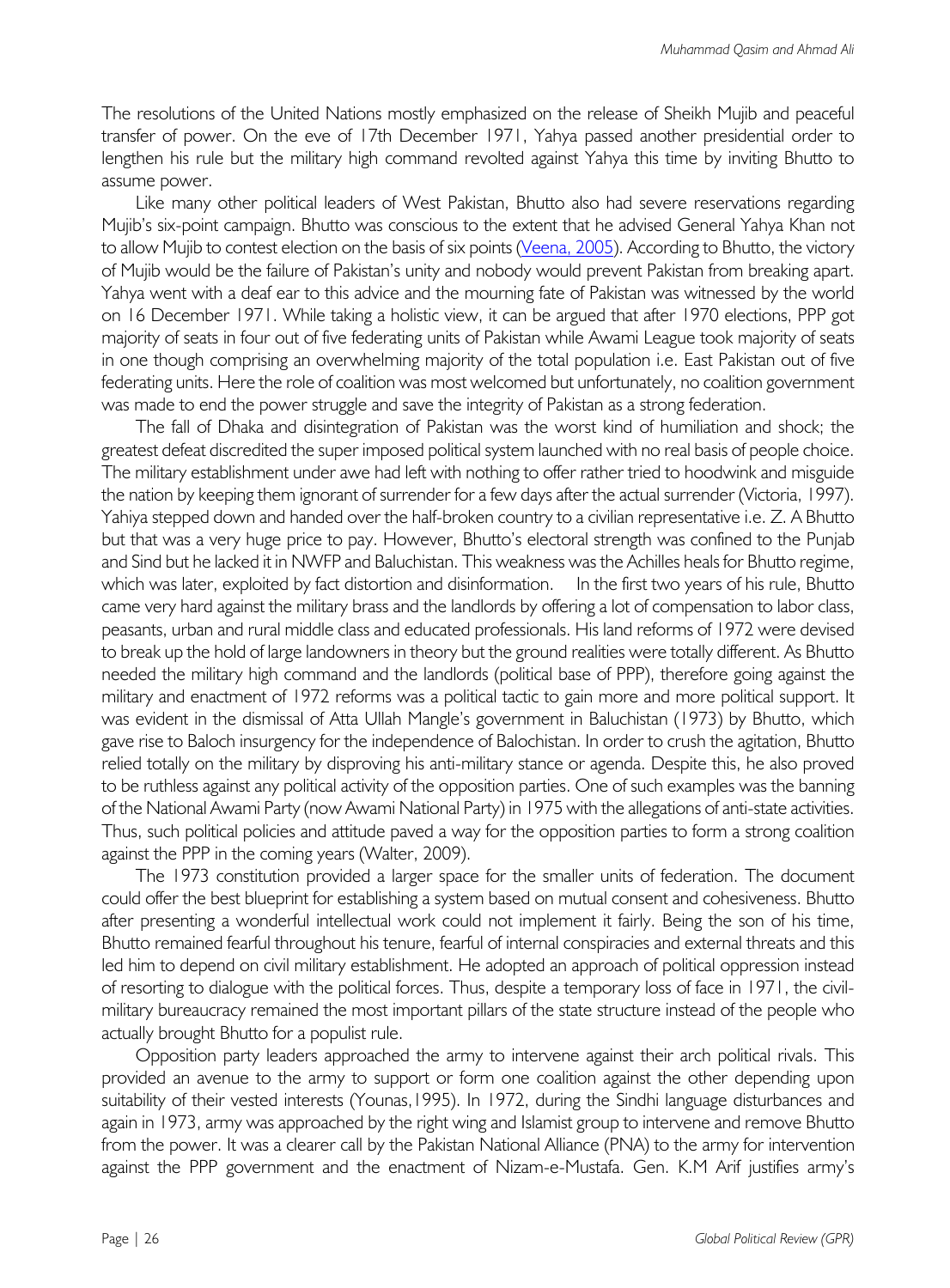The resolutions of the United Nations mostly emphasized on the release of Sheikh Mujib and peaceful transfer of power. On the eve of 17th December 1971, Yahya passed another presidential order to lengthen his rule but the military high command revolted against Yahya this time by inviting Bhutto to assume power.

Like many other political leaders of West Pakistan, Bhutto also had severe reservations regarding Mujib's six-point campaign. Bhutto was conscious to the extent that he advised General Yahya Khan not to allow Mujib to contest election on the basis of six points (Veena, 2005). According to Bhutto, the victory of Mujib would be the failure of Pakistan's unity and nobody would prevent Pakistan from breaking apart. Yahya went with a deaf ear to this advice and the mourning fate of Pakistan was witnessed by the world on 16 December 1971. While taking a holistic view, it can be argued that after 1970 elections, PPP got majority of seats in four out of five federating units of Pakistan while Awami League took majority of seats in one though comprising an overwhelming majority of the total population i.e. East Pakistan out of five federating units. Here the role of coalition was most welcomed but unfortunately, no coalition government was made to end the power struggle and save the integrity of Pakistan as a strong federation.

The fall of Dhaka and disintegration of Pakistan was the worst kind of humiliation and shock; the greatest defeat discredited the super imposed political system launched with no real basis of people choice. The military establishment under awe had left with nothing to offer rather tried to hoodwink and misguide the nation by keeping them ignorant of surrender for a few days after the actual surrender (Victoria, 1997). Yahiya stepped down and handed over the half-broken country to a civilian representative i.e. Z. A Bhutto but that was a very huge price to pay. However, Bhutto's electoral strength was confined to the Punjab and Sind but he lacked it in NWFP and Baluchistan. This weakness was the Achilles heals for Bhutto regime, which was later, exploited by fact distortion and disinformation. In the first two years of his rule, Bhutto came very hard against the military brass and the landlords by offering a lot of compensation to labor class, peasants, urban and rural middle class and educated professionals. His land reforms of 1972 were devised to break up the hold of large landowners in theory but the ground realities were totally different. As Bhutto needed the military high command and the landlords (political base of PPP), therefore going against the military and enactment of 1972 reforms was a political tactic to gain more and more political support. It was evident in the dismissal of Atta Ullah Mangle's government in Baluchistan (1973) by Bhutto, which gave rise to Baloch insurgency for the independence of Balochistan. In order to crush the agitation, Bhutto relied totally on the military by disproving his anti-military stance or agenda. Despite this, he also proved to be ruthless against any political activity of the opposition parties. One of such examples was the banning of the National Awami Party (now Awami National Party) in 1975 with the allegations of anti-state activities. Thus, such political policies and attitude paved a way for the opposition parties to form a strong coalition against the PPP in the coming years (Walter, 2009).

The 1973 constitution provided a larger space for the smaller units of federation. The document could offer the best blueprint for establishing a system based on mutual consent and cohesiveness. Bhutto after presenting a wonderful intellectual work could not implement it fairly. Being the son of his time, Bhutto remained fearful throughout his tenure, fearful of internal conspiracies and external threats and this led him to depend on civil military establishment. He adopted an approach of political oppression instead of resorting to dialogue with the political forces. Thus, despite a temporary loss of face in 1971, the civilmilitary bureaucracy remained the most important pillars of the state structure instead of the people who actually brought Bhutto for a populist rule.

Opposition party leaders approached the army to intervene against their arch political rivals. This provided an avenue to the army to support or form one coalition against the other depending upon suitability of their vested interests (Younas,1995). In 1972, during the Sindhi language disturbances and again in 1973, army was approached by the right wing and Islamist group to intervene and remove Bhutto from the power. It was a clearer call by the Pakistan National Alliance (PNA) to the army for intervention against the PPP government and the enactment of Nizam-e-Mustafa. Gen. K.M Arif justifies army's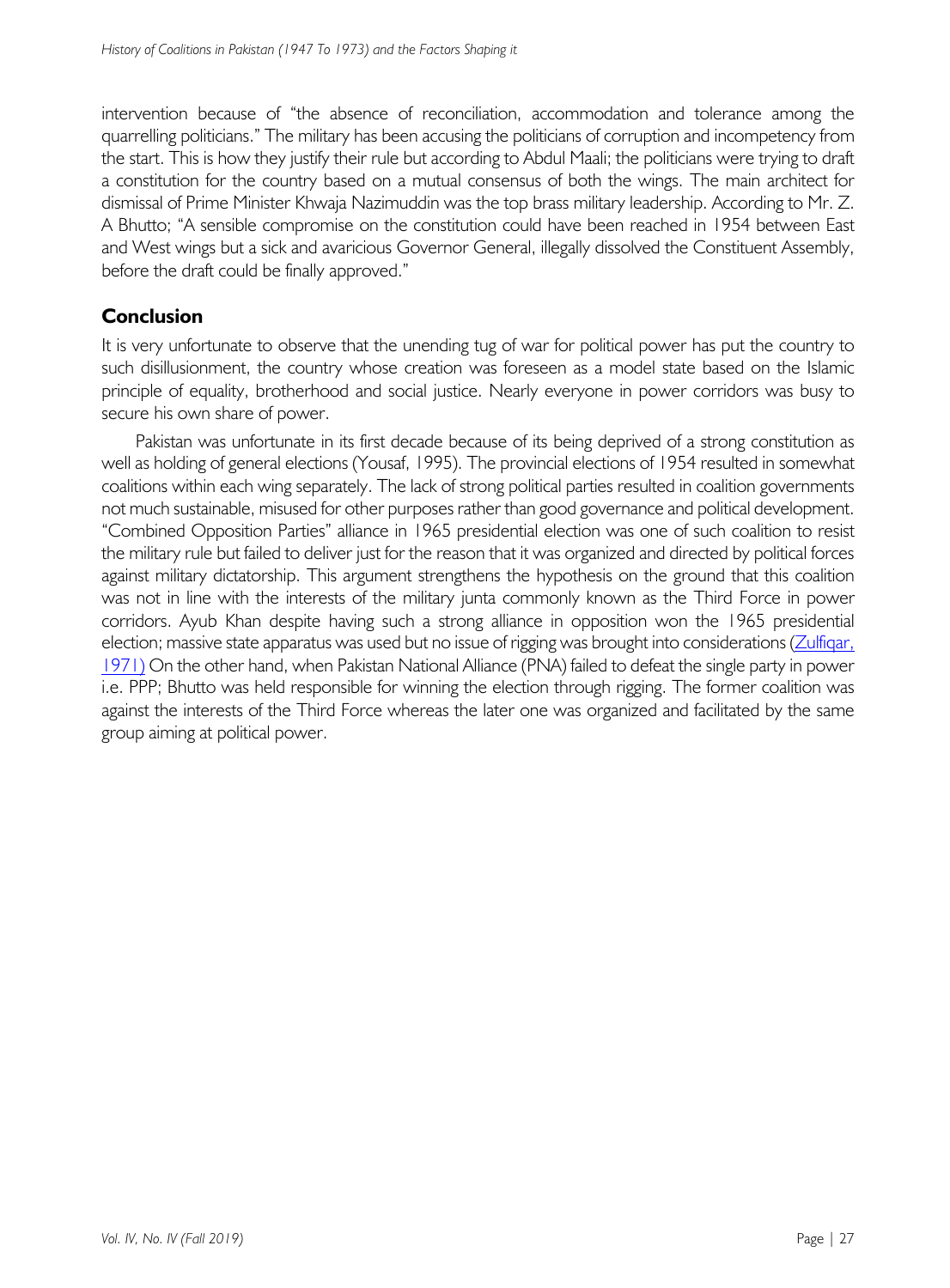intervention because of "the absence of reconciliation, accommodation and tolerance among the quarrelling politicians." The military has been accusing the politicians of corruption and incompetency from the start. This is how they justify their rule but according to Abdul Maali; the politicians were trying to draft a constitution for the country based on a mutual consensus of both the wings. The main architect for dismissal of Prime Minister Khwaja Nazimuddin was the top brass military leadership. According to Mr. Z. A Bhutto; "A sensible compromise on the constitution could have been reached in 1954 between East and West wings but a sick and avaricious Governor General, illegally dissolved the Constituent Assembly, before the draft could be finally approved."

## **Conclusion**

It is very unfortunate to observe that the unending tug of war for political power has put the country to such disillusionment, the country whose creation was foreseen as a model state based on the Islamic principle of equality, brotherhood and social justice. Nearly everyone in power corridors was busy to secure his own share of power.

Pakistan was unfortunate in its first decade because of its being deprived of a strong constitution as well as holding of general elections (Yousaf, 1995). The provincial elections of 1954 resulted in somewhat coalitions within each wing separately. The lack of strong political parties resulted in coalition governments not much sustainable, misused for other purposes rather than good governance and political development. "Combined Opposition Parties" alliance in 1965 presidential election was one of such coalition to resist the military rule but failed to deliver just for the reason that it was organized and directed by political forces against military dictatorship. This argument strengthens the hypothesis on the ground that this coalition was not in line with the interests of the military junta commonly known as the Third Force in power corridors. Ayub Khan despite having such a strong alliance in opposition won the 1965 presidential election; massive state apparatus was used but no issue of rigging was brought into considerations (Zulfiqar, 1971) On the other hand, when Pakistan National Alliance (PNA) failed to defeat the single party in power i.e. PPP; Bhutto was held responsible for winning the election through rigging. The former coalition was against the interests of the Third Force whereas the later one was organized and facilitated by the same group aiming at political power.